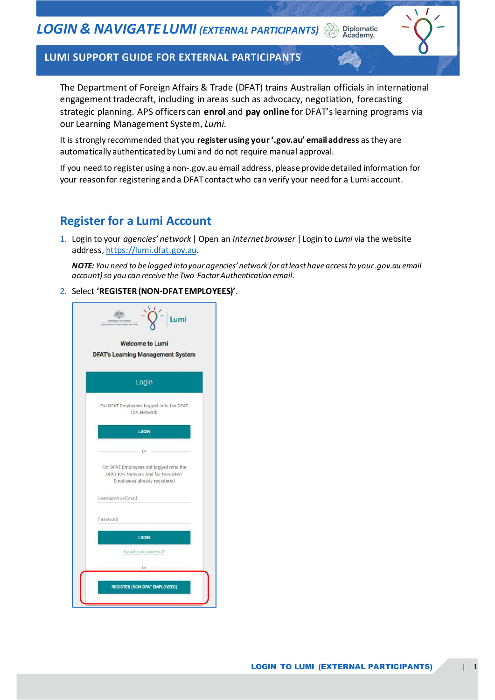Diplomatic<br>Academy.

#### LUMI SUPPORT GUIDE FOR EXTERNAL PARTICIPANTS

The Department of Foreign Affairs & Trade (DFAT) trains Australian officials in international engagement tradecraft, including in areas such as advocacy, negotiation, forecasting strategic planning. APS officers can **enrol** and **pay online** for DFAT's learning programs via our Learning Management System, *Lumi*.

It is strongly recommended that you **register using your '.gov.au' email address** as they are automatically authenticated by Lumi and do not require manual approval.

If you need to register using a non-.gov.au email address, please provide detailed information for your reason for registering and a DFAT contact who can verify your need for a Lumi account.

### **Register for a Lumi Account**

1. Login to your *agencies' network* | Open an *Internet browser* | Login to *Lumi* via the website address[, https://lumi.dfat.gov.au](https://lumi.dfat.gov.au/).

*NOTE: You need to be logged into your agencies' network (or at least have access to your .gov.au email account)so you can receive the Two-Factor Authentication email.*

2. Select **'REGISTER (NON-DFAT EMPLOYEES)'**.

| umi.<br><b>Welcome to Lumi</b><br><b>DFAT's Learning Management System</b>                                  |
|-------------------------------------------------------------------------------------------------------------|
| Login                                                                                                       |
| For DFAT Employees logged onto the DFAT<br><b>ICN Network</b>                                               |
| <b>LOGIN</b>                                                                                                |
| ör                                                                                                          |
| For DFAT Employees not logged onto the<br>DFAT ICN Network And for Non-DFAT<br>Employees already registered |
| Username or Email                                                                                           |
| Password                                                                                                    |
| <b>LOGIN</b>                                                                                                |
| Forgot your password?                                                                                       |
| 0ľ                                                                                                          |
| <b>REGISTER (NON-DFAT EMPLOYEES)</b>                                                                        |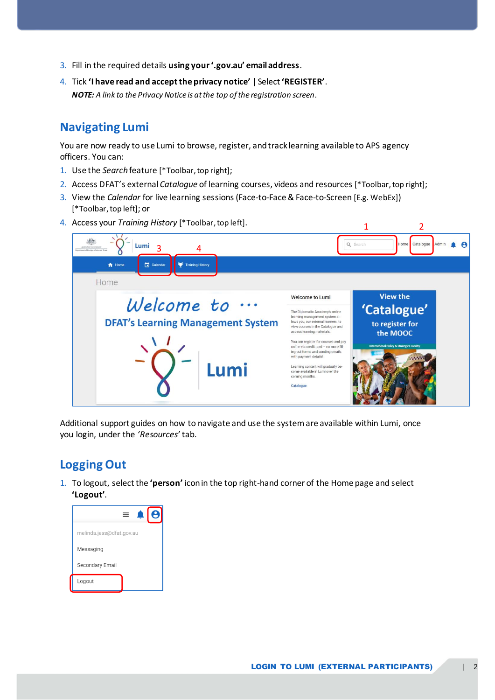- 3. Fill in the required details **using your '.gov.au' email address**.
- 4. Tick **'I have read and accept the privacy notice'** | Select **'REGISTER'**. *NOTE: A link to the Privacy Notice is at the top of the registration screen.*

### **Navigating Lumi**

You are now ready to use Lumi to browse, register, and track learning available to APS agency officers. You can:

- 1. Use the *Search* feature [\*Toolbar, top right];
- 2. Access DFAT's external *Catalogue* of learning courses, videos and resources [\*Toolbar, top right];
- 3. View the *Calendar* for live learning sessions (Face-to-Face & Face-to-Screen [E.g. WebEx]) [\*Toolbar, top left]; or
- 4. Access your *Training History* [\*Toolbar, top left].



Additional support guides on how to navigate and use the systemare available within Lumi, once you login, under the *'Resources'* tab.

## **Logging Out**

1. To logout, select the **'person'** icon in the top right-hand corner of the Home page and select **'Logout'**.